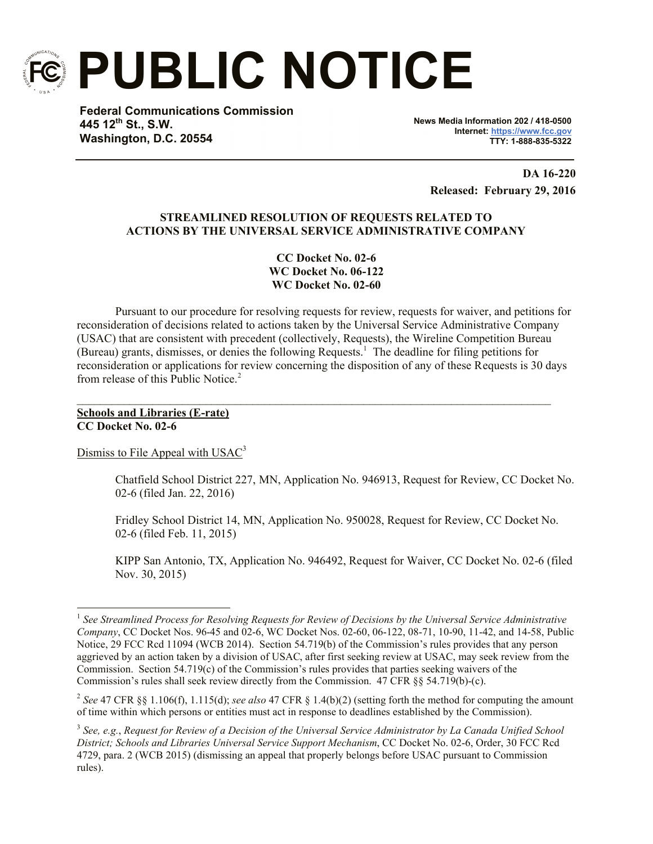

**PUBLIC NOTICE**

**Federal Communications Commission 445 12th St., S.W. Washington, D.C. 20554**

**News Media Information 202 / 418-0500 Internet: https://www.fcc.gov TTY: 1-888-835-5322**

**DA 16-220 Released: February 29, 2016**

# **STREAMLINED RESOLUTION OF REQUESTS RELATED TO ACTIONS BY THE UNIVERSAL SERVICE ADMINISTRATIVE COMPANY**

**CC Docket No. 02-6 WC Docket No. 06-122 WC Docket No. 02-60**

Pursuant to our procedure for resolving requests for review, requests for waiver, and petitions for reconsideration of decisions related to actions taken by the Universal Service Administrative Company (USAC) that are consistent with precedent (collectively, Requests), the Wireline Competition Bureau (Bureau) grants, dismisses, or denies the following Requests.<sup>1</sup> The deadline for filing petitions for reconsideration or applications for review concerning the disposition of any of these Requests is 30 days from release of this Public Notice.<sup>2</sup>

 $\mathcal{L}_\mathcal{L} = \{ \mathcal{L}_\mathcal{L} = \{ \mathcal{L}_\mathcal{L} = \{ \mathcal{L}_\mathcal{L} = \{ \mathcal{L}_\mathcal{L} = \{ \mathcal{L}_\mathcal{L} = \{ \mathcal{L}_\mathcal{L} = \{ \mathcal{L}_\mathcal{L} = \{ \mathcal{L}_\mathcal{L} = \{ \mathcal{L}_\mathcal{L} = \{ \mathcal{L}_\mathcal{L} = \{ \mathcal{L}_\mathcal{L} = \{ \mathcal{L}_\mathcal{L} = \{ \mathcal{L}_\mathcal{L} = \{ \mathcal{L}_\mathcal{$ 

## **Schools and Libraries (E-rate) CC Docket No. 02-6**

l

Dismiss to File Appeal with USAC<sup>3</sup>

Chatfield School District 227, MN, Application No. 946913, Request for Review, CC Docket No. 02-6 (filed Jan. 22, 2016)

Fridley School District 14, MN, Application No. 950028, Request for Review, CC Docket No. 02-6 (filed Feb. 11, 2015)

KIPP San Antonio, TX, Application No. 946492, Request for Waiver, CC Docket No. 02-6 (filed Nov. 30, 2015)

<sup>&</sup>lt;sup>1</sup> See Streamlined Process for Resolving Requests for Review of Decisions by the Universal Service Administrative *Company*, CC Docket Nos. 96-45 and 02-6, WC Docket Nos. 02-60, 06-122, 08-71, 10-90, 11-42, and 14-58, Public Notice, 29 FCC Rcd 11094 (WCB 2014). Section 54.719(b) of the Commission's rules provides that any person aggrieved by an action taken by a division of USAC, after first seeking review at USAC, may seek review from the Commission. Section 54.719(c) of the Commission's rules provides that parties seeking waivers of the Commission's rules shall seek review directly from the Commission. 47 CFR §§ 54.719(b)-(c).

<sup>2</sup> *See* 47 CFR §§ 1.106(f), 1.115(d); *see also* 47 CFR § 1.4(b)(2) (setting forth the method for computing the amount of time within which persons or entities must act in response to deadlines established by the Commission).

<sup>3</sup> *See, e.g.*, *Request for Review of a Decision of the Universal Service Administrator by La Canada Unified School District; Schools and Libraries Universal Service Support Mechanism*, CC Docket No. 02-6, Order, 30 FCC Rcd 4729, para. 2 (WCB 2015) (dismissing an appeal that properly belongs before USAC pursuant to Commission rules).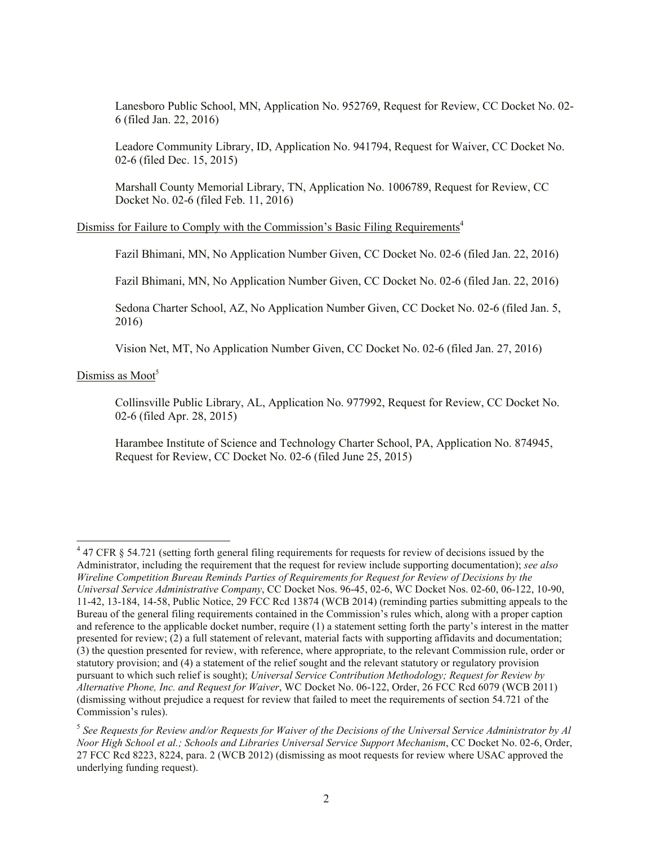Lanesboro Public School, MN, Application No. 952769, Request for Review, CC Docket No. 02- 6 (filed Jan. 22, 2016)

Leadore Community Library, ID, Application No. 941794, Request for Waiver, CC Docket No. 02-6 (filed Dec. 15, 2015)

Marshall County Memorial Library, TN, Application No. 1006789, Request for Review, CC Docket No. 02-6 (filed Feb. 11, 2016)

Dismiss for Failure to Comply with the Commission's Basic Filing Requirements<sup>4</sup>

Fazil Bhimani, MN, No Application Number Given, CC Docket No. 02-6 (filed Jan. 22, 2016)

Fazil Bhimani, MN, No Application Number Given, CC Docket No. 02-6 (filed Jan. 22, 2016)

Sedona Charter School, AZ, No Application Number Given, CC Docket No. 02-6 (filed Jan. 5, 2016)

Vision Net, MT, No Application Number Given, CC Docket No. 02-6 (filed Jan. 27, 2016)

Dismiss as Moot<sup>5</sup>

l

Collinsville Public Library, AL, Application No. 977992, Request for Review, CC Docket No. 02-6 (filed Apr. 28, 2015)

Harambee Institute of Science and Technology Charter School, PA, Application No. 874945, Request for Review, CC Docket No. 02-6 (filed June 25, 2015)

 $47$  CFR § 54.721 (setting forth general filing requirements for requests for review of decisions issued by the Administrator, including the requirement that the request for review include supporting documentation); *see also Wireline Competition Bureau Reminds Parties of Requirements for Request for Review of Decisions by the Universal Service Administrative Company*, CC Docket Nos. 96-45, 02-6, WC Docket Nos. 02-60, 06-122, 10-90, 11-42, 13-184, 14-58, Public Notice, 29 FCC Rcd 13874 (WCB 2014) (reminding parties submitting appeals to the Bureau of the general filing requirements contained in the Commission's rules which, along with a proper caption and reference to the applicable docket number, require (1) a statement setting forth the party's interest in the matter presented for review; (2) a full statement of relevant, material facts with supporting affidavits and documentation; (3) the question presented for review, with reference, where appropriate, to the relevant Commission rule, order or statutory provision; and (4) a statement of the relief sought and the relevant statutory or regulatory provision pursuant to which such relief is sought); *Universal Service Contribution Methodology; Request for Review by Alternative Phone, Inc. and Request for Waiver*, WC Docket No. 06-122, Order, 26 FCC Rcd 6079 (WCB 2011) (dismissing without prejudice a request for review that failed to meet the requirements of section 54.721 of the Commission's rules).

<sup>5</sup> *See Requests for Review and/or Requests for Waiver of the Decisions of the Universal Service Administrator by Al Noor High School et al.; Schools and Libraries Universal Service Support Mechanism*, CC Docket No. 02-6, Order, 27 FCC Rcd 8223, 8224, para. 2 (WCB 2012) (dismissing as moot requests for review where USAC approved the underlying funding request).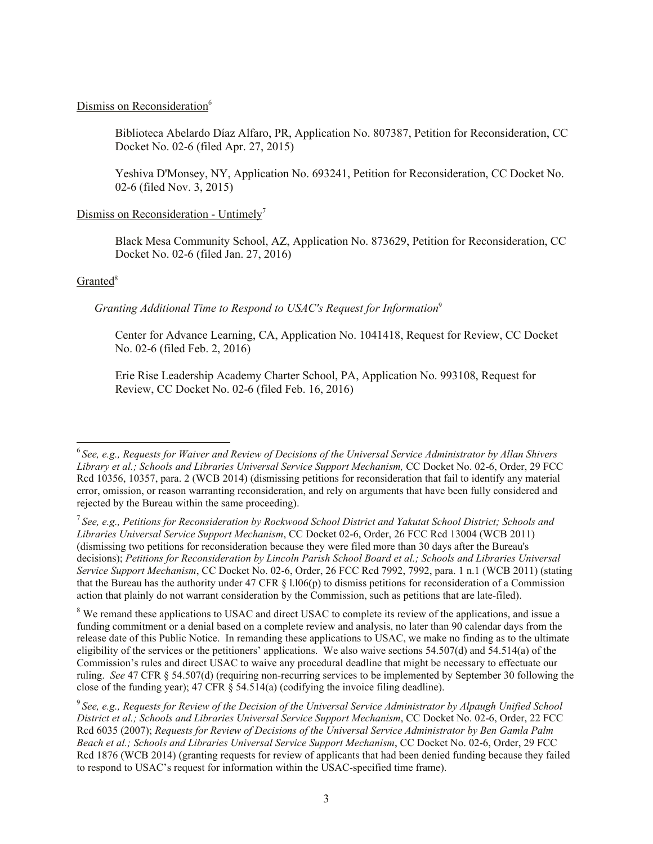### Dismiss on Reconsideration<sup>6</sup>

Biblioteca Abelardo Díaz Alfaro, PR, Application No. 807387, Petition for Reconsideration, CC Docket No. 02-6 (filed Apr. 27, 2015)

Yeshiva D'Monsey, NY, Application No. 693241, Petition for Reconsideration, CC Docket No. 02-6 (filed Nov. 3, 2015)

## Dismiss on Reconsideration - Untimely<sup>7</sup>

Black Mesa Community School, AZ, Application No. 873629, Petition for Reconsideration, CC Docket No. 02-6 (filed Jan. 27, 2016)

### Granted<sup>8</sup>

# *Granting Additional Time to Respond to USAC's Request for Information*<sup>9</sup>

Center for Advance Learning, CA, Application No. 1041418, Request for Review, CC Docket No. 02-6 (filed Feb. 2, 2016)

Erie Rise Leadership Academy Charter School, PA, Application No. 993108, Request for Review, CC Docket No. 02-6 (filed Feb. 16, 2016)

<sup>8</sup> We remand these applications to USAC and direct USAC to complete its review of the applications, and issue a funding commitment or a denial based on a complete review and analysis, no later than 90 calendar days from the release date of this Public Notice. In remanding these applications to USAC, we make no finding as to the ultimate eligibility of the services or the petitioners' applications. We also waive sections 54.507(d) and 54.514(a) of the Commission's rules and direct USAC to waive any procedural deadline that might be necessary to effectuate our ruling. *See* 47 CFR § 54.507(d) (requiring non-recurring services to be implemented by September 30 following the close of the funding year);  $47 \text{ CFR} \& 54.514(a)$  (codifying the invoice filing deadline).

 6 *See, e.g., Requests for Waiver and Review of Decisions of the Universal Service Administrator by Allan Shivers Library et al.; Schools and Libraries Universal Service Support Mechanism,* CC Docket No. 02-6, Order, 29 FCC Rcd 10356, 10357, para. 2 (WCB 2014) (dismissing petitions for reconsideration that fail to identify any material error, omission, or reason warranting reconsideration, and rely on arguments that have been fully considered and rejected by the Bureau within the same proceeding).

<sup>7</sup> *See, e.g., Petitions for Reconsideration by Rockwood School District and Yakutat School District; Schools and Libraries Universal Service Support Mechanism*, CC Docket 02-6, Order, 26 FCC Rcd 13004 (WCB 2011) (dismissing two petitions for reconsideration because they were filed more than 30 days after the Bureau's decisions); *Petitions for Reconsideration by Lincoln Parish School Board et al.; Schools and Libraries Universal Service Support Mechanism*, CC Docket No. 02-6, Order, 26 FCC Rcd 7992, 7992, para. 1 n.1 (WCB 2011) (stating that the Bureau has the authority under 47 CFR  $\S$  1.106(p) to dismiss petitions for reconsideration of a Commission action that plainly do not warrant consideration by the Commission, such as petitions that are late-filed).

<sup>9</sup> *See, e.g., Requests for Review of the Decision of the Universal Service Administrator by Alpaugh Unified School District et al.; Schools and Libraries Universal Service Support Mechanism*, CC Docket No. 02-6, Order, 22 FCC Rcd 6035 (2007); *Requests for Review of Decisions of the Universal Service Administrator by Ben Gamla Palm Beach et al.; Schools and Libraries Universal Service Support Mechanism*, CC Docket No. 02-6, Order, 29 FCC Rcd 1876 (WCB 2014) (granting requests for review of applicants that had been denied funding because they failed to respond to USAC's request for information within the USAC-specified time frame).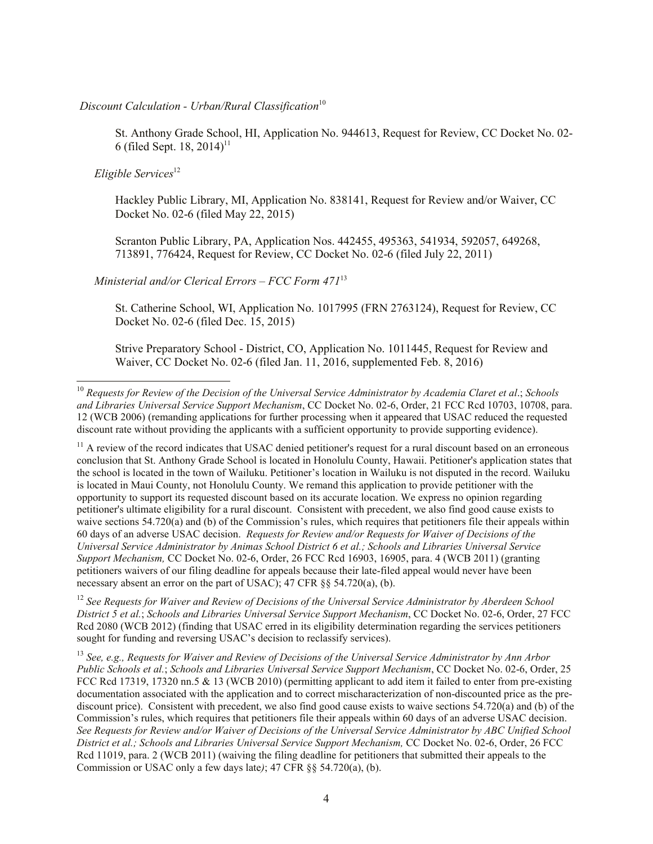# *Discount Calculation - Urban/Rural Classification*<sup>10</sup>

St. Anthony Grade School, HI, Application No. 944613, Request for Review, CC Docket No. 02- 6 (filed Sept. 18, 2014) 11

*Eligible Services*<sup>12</sup>

l

Hackley Public Library, MI, Application No. 838141, Request for Review and/or Waiver, CC Docket No. 02-6 (filed May 22, 2015)

Scranton Public Library, PA, Application Nos. 442455, 495363, 541934, 592057, 649268, 713891, 776424, Request for Review, CC Docket No. 02-6 (filed July 22, 2011)

## *Ministerial and/or Clerical Errors – FCC Form 471*<sup>13</sup>

St. Catherine School, WI, Application No. 1017995 (FRN 2763124), Request for Review, CC Docket No. 02-6 (filed Dec. 15, 2015)

Strive Preparatory School - District, CO, Application No. 1011445, Request for Review and Waiver, CC Docket No. 02-6 (filed Jan. 11, 2016, supplemented Feb. 8, 2016)

<sup>12</sup> *See Requests for Waiver and Review of Decisions of the Universal Service Administrator by Aberdeen School District 5 et al.*; *Schools and Libraries Universal Service Support Mechanism*, CC Docket No. 02-6, Order, 27 FCC Rcd 2080 (WCB 2012) (finding that USAC erred in its eligibility determination regarding the services petitioners sought for funding and reversing USAC's decision to reclassify services).

<sup>13</sup> *See, e.g., Requests for Waiver and Review of Decisions of the Universal Service Administrator by Ann Arbor Public Schools et al.*; *Schools and Libraries Universal Service Support Mechanism*, CC Docket No. 02-6, Order, 25 FCC Rcd 17319, 17320 nn.5 & 13 (WCB 2010) (permitting applicant to add item it failed to enter from pre-existing documentation associated with the application and to correct mischaracterization of non-discounted price as the prediscount price). Consistent with precedent, we also find good cause exists to waive sections 54.720(a) and (b) of the Commission's rules, which requires that petitioners file their appeals within 60 days of an adverse USAC decision. *See Requests for Review and/or Waiver of Decisions of the Universal Service Administrator by ABC Unified School District et al.; Schools and Libraries Universal Service Support Mechanism,* CC Docket No. 02-6, Order, 26 FCC Rcd 11019, para. 2 (WCB 2011) (waiving the filing deadline for petitioners that submitted their appeals to the Commission or USAC only a few days late*)*; 47 CFR §§ 54.720(a), (b).

<sup>10</sup> *Requests for Review of the Decision of the Universal Service Administrator by Academia Claret et al*.; *Schools and Libraries Universal Service Support Mechanism*, CC Docket No. 02-6, Order, 21 FCC Rcd 10703, 10708, para. 12 (WCB 2006) (remanding applications for further processing when it appeared that USAC reduced the requested discount rate without providing the applicants with a sufficient opportunity to provide supporting evidence).

 $11$  A review of the record indicates that USAC denied petitioner's request for a rural discount based on an erroneous conclusion that St. Anthony Grade School is located in Honolulu County, Hawaii. Petitioner's application states that the school is located in the town of Wailuku. Petitioner's location in Wailuku is not disputed in the record. Wailuku is located in Maui County, not Honolulu County. We remand this application to provide petitioner with the opportunity to support its requested discount based on its accurate location. We express no opinion regarding petitioner's ultimate eligibility for a rural discount. Consistent with precedent, we also find good cause exists to waive sections 54.720(a) and (b) of the Commission's rules, which requires that petitioners file their appeals within 60 days of an adverse USAC decision. *Requests for Review and/or Requests for Waiver of Decisions of the Universal Service Administrator by Animas School District 6 et al.; Schools and Libraries Universal Service Support Mechanism,* CC Docket No. 02-6, Order, 26 FCC Rcd 16903, 16905, para. 4 (WCB 2011) (granting petitioners waivers of our filing deadline for appeals because their late-filed appeal would never have been necessary absent an error on the part of USAC); 47 CFR §§ 54.720(a), (b).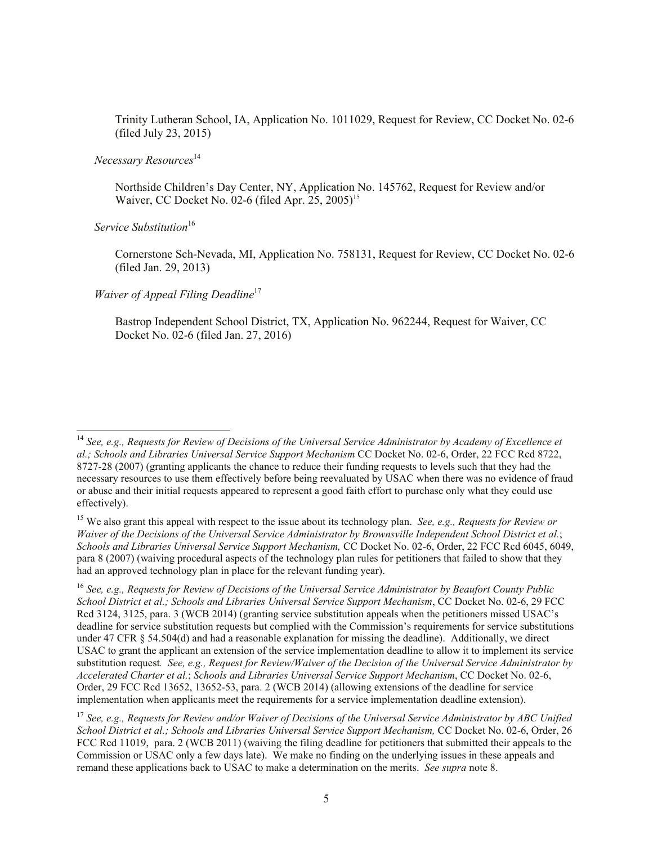Trinity Lutheran School, IA, Application No. 1011029, Request for Review, CC Docket No. 02-6 (filed July 23, 2015)

### *Necessary Resources*<sup>14</sup>

Northside Children's Day Center, NY, Application No. 145762, Request for Review and/or Waiver, CC Docket No. 02-6 (filed Apr. 25, 2005)<sup>15</sup>

*Service Substitution*<sup>16</sup>

l

Cornerstone Sch-Nevada, MI, Application No. 758131, Request for Review, CC Docket No. 02-6 (filed Jan. 29, 2013)

*Waiver of Appeal Filing Deadline*<sup>17</sup>

Bastrop Independent School District, TX, Application No. 962244, Request for Waiver, CC Docket No. 02-6 (filed Jan. 27, 2016)

<sup>14</sup> *See, e.g., Requests for Review of Decisions of the Universal Service Administrator by Academy of Excellence et al.; Schools and Libraries Universal Service Support Mechanism* CC Docket No. 02-6, Order, 22 FCC Rcd 8722, 8727-28 (2007) (granting applicants the chance to reduce their funding requests to levels such that they had the necessary resources to use them effectively before being reevaluated by USAC when there was no evidence of fraud or abuse and their initial requests appeared to represent a good faith effort to purchase only what they could use effectively).

<sup>15</sup> We also grant this appeal with respect to the issue about its technology plan. *See, e.g., Requests for Review or Waiver of the Decisions of the Universal Service Administrator by Brownsville Independent School District et al.*; *Schools and Libraries Universal Service Support Mechanism,* CC Docket No. 02-6, Order, 22 FCC Rcd 6045, 6049, para 8 (2007) (waiving procedural aspects of the technology plan rules for petitioners that failed to show that they had an approved technology plan in place for the relevant funding year).

<sup>16</sup> *See, e.g., Requests for Review of Decisions of the Universal Service Administrator by Beaufort County Public School District et al.; Schools and Libraries Universal Service Support Mechanism*, CC Docket No. 02-6, 29 FCC Rcd 3124, 3125, para. 3 (WCB 2014) (granting service substitution appeals when the petitioners missed USAC's deadline for service substitution requests but complied with the Commission's requirements for service substitutions under 47 CFR § 54.504(d) and had a reasonable explanation for missing the deadline). Additionally, we direct USAC to grant the applicant an extension of the service implementation deadline to allow it to implement its service substitution request*. See, e.g., Request for Review/Waiver of the Decision of the Universal Service Administrator by Accelerated Charter et al.*; *Schools and Libraries Universal Service Support Mechanism*, CC Docket No. 02-6, Order, 29 FCC Rcd 13652, 13652-53, para. 2 (WCB 2014) (allowing extensions of the deadline for service implementation when applicants meet the requirements for a service implementation deadline extension).

<sup>17</sup> *See, e.g., Requests for Review and/or Waiver of Decisions of the Universal Service Administrator by ABC Unified School District et al.; Schools and Libraries Universal Service Support Mechanism,* CC Docket No. 02-6, Order, 26 FCC Rcd 11019, para. 2 (WCB 2011) (waiving the filing deadline for petitioners that submitted their appeals to the Commission or USAC only a few days late). We make no finding on the underlying issues in these appeals and remand these applications back to USAC to make a determination on the merits. *See supra* note 8.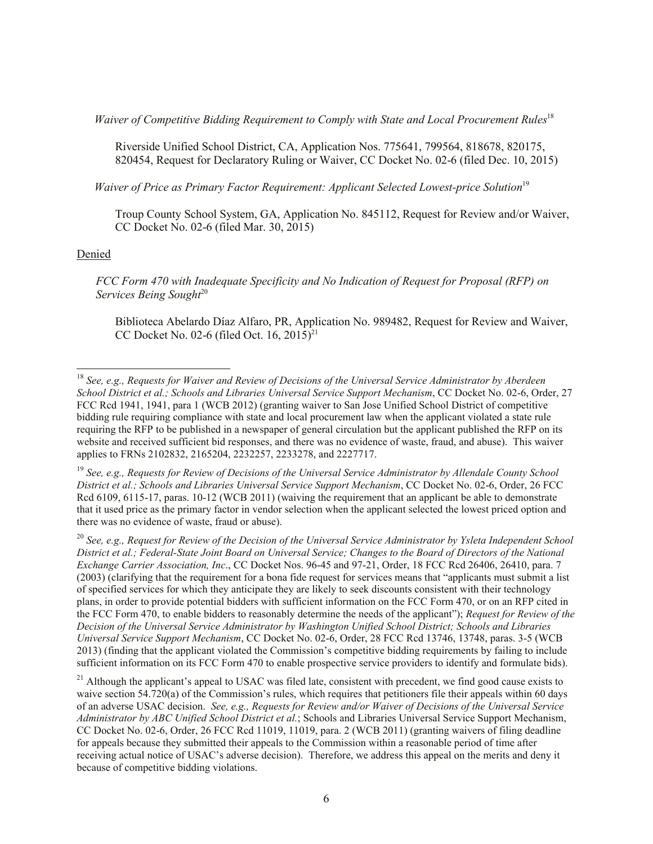*Waiver of Competitive Bidding Requirement to Comply with State and Local Procurement Rules*<sup>18</sup>

Riverside Unified School District, CA, Application Nos. 775641, 799564, 818678, 820175, 820454, Request for Declaratory Ruling or Waiver, CC Docket No. 02-6 (filed Dec. 10, 2015)

*Waiver of Price as Primary Factor Requirement: Applicant Selected Lowest-price Solution*<sup>19</sup>

Troup County School System, GA, Application No. 845112, Request for Review and/or Waiver, CC Docket No. 02-6 (filed Mar. 30, 2015)

### Denied

l

*FCC Form 470 with Inadequate Specificity and No Indication of Request for Proposal (RFP) on Services Being Sought*<sup>20</sup>

Biblioteca Abelardo Díaz Alfaro, PR, Application No. 989482, Request for Review and Waiver, CC Docket No. 02-6 (filed Oct. 16, 2015)<sup>21</sup>

<sup>18</sup> *See, e.g., Requests for Waiver and Review of Decisions of the Universal Service Administrator by Aberdeen School District et al.; Schools and Libraries Universal Service Support Mechanism*, CC Docket No. 02-6, Order, 27 FCC Rcd 1941, 1941, para 1 (WCB 2012) (granting waiver to San Jose Unified School District of competitive bidding rule requiring compliance with state and local procurement law when the applicant violated a state rule requiring the RFP to be published in a newspaper of general circulation but the applicant published the RFP on its website and received sufficient bid responses, and there was no evidence of waste, fraud, and abuse). This waiver applies to FRNs 2102832, 2165204, 2232257, 2233278, and 2227717.

<sup>19</sup> *See, e.g., Requests for Review of Decisions of the Universal Service Administrator by Allendale County School District et al.; Schools and Libraries Universal Service Support Mechanism*, CC Docket No. 02-6, Order, 26 FCC Rcd 6109, 6115-17, paras. 10-12 (WCB 2011) (waiving the requirement that an applicant be able to demonstrate that it used price as the primary factor in vendor selection when the applicant selected the lowest priced option and there was no evidence of waste, fraud or abuse).

<sup>20</sup> *See, e.g., Request for Review of the Decision of the Universal Service Administrator by Ysleta Independent School District et al.; Federal-State Joint Board on Universal Service; Changes to the Board of Directors of the National Exchange Carrier Association, Inc*., CC Docket Nos. 96-45 and 97-21, Order, 18 FCC Rcd 26406, 26410, para. 7 (2003) (clarifying that the requirement for a bona fide request for services means that "applicants must submit a list of specified services for which they anticipate they are likely to seek discounts consistent with their technology plans, in order to provide potential bidders with sufficient information on the FCC Form 470, or on an RFP cited in the FCC Form 470, to enable bidders to reasonably determine the needs of the applicant"); *Request for Review of the Decision of the Universal Service Administrator by Washington Unified School District; Schools and Libraries Universal Service Support Mechanism*, CC Docket No. 02-6, Order, 28 FCC Rcd 13746, 13748, paras. 3-5 (WCB 2013) (finding that the applicant violated the Commission's competitive bidding requirements by failing to include sufficient information on its FCC Form 470 to enable prospective service providers to identify and formulate bids).

 $21$  Although the applicant's appeal to USAC was filed late, consistent with precedent, we find good cause exists to waive section 54.720(a) of the Commission's rules, which requires that petitioners file their appeals within 60 days of an adverse USAC decision. *See, e.g., Requests for Review and/or Waiver of Decisions of the Universal Service Administrator by ABC Unified School District et al.*; Schools and Libraries Universal Service Support Mechanism, CC Docket No. 02-6, Order, 26 FCC Rcd 11019, 11019, para. 2 (WCB 2011) (granting waivers of filing deadline for appeals because they submitted their appeals to the Commission within a reasonable period of time after receiving actual notice of USAC's adverse decision). Therefore, we address this appeal on the merits and deny it because of competitive bidding violations.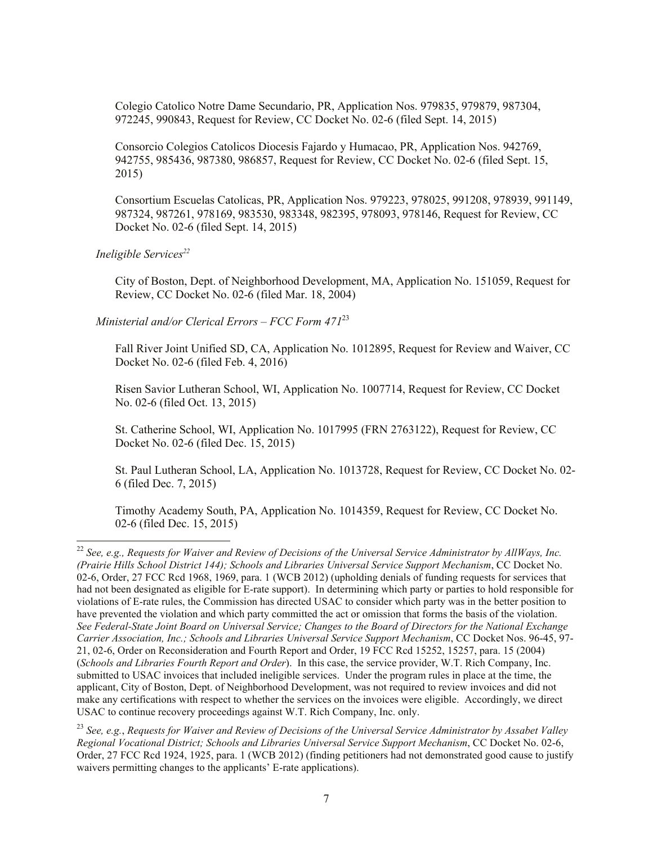Colegio Catolico Notre Dame Secundario, PR, Application Nos. 979835, 979879, 987304, 972245, 990843, Request for Review, CC Docket No. 02-6 (filed Sept. 14, 2015)

Consorcio Colegios Catolicos Diocesis Fajardo y Humacao, PR, Application Nos. 942769, 942755, 985436, 987380, 986857, Request for Review, CC Docket No. 02-6 (filed Sept. 15, 2015)

Consortium Escuelas Catolicas, PR, Application Nos. 979223, 978025, 991208, 978939, 991149, 987324, 987261, 978169, 983530, 983348, 982395, 978093, 978146, Request for Review, CC Docket No. 02-6 (filed Sept. 14, 2015)

#### *Ineligible Services<sup>22</sup>*

l

City of Boston, Dept. of Neighborhood Development, MA, Application No. 151059, Request for Review, CC Docket No. 02-6 (filed Mar. 18, 2004)

*Ministerial and/or Clerical Errors – FCC Form 471*<sup>23</sup>

Fall River Joint Unified SD, CA, Application No. 1012895, Request for Review and Waiver, CC Docket No. 02-6 (filed Feb. 4, 2016)

Risen Savior Lutheran School, WI, Application No. 1007714, Request for Review, CC Docket No. 02-6 (filed Oct. 13, 2015)

St. Catherine School, WI, Application No. 1017995 (FRN 2763122), Request for Review, CC Docket No. 02-6 (filed Dec. 15, 2015)

St. Paul Lutheran School, LA, Application No. 1013728, Request for Review, CC Docket No. 02- 6 (filed Dec. 7, 2015)

Timothy Academy South, PA, Application No. 1014359, Request for Review, CC Docket No. 02-6 (filed Dec. 15, 2015)

<sup>&</sup>lt;sup>22</sup> See, e.g., Requests for Waiver and Review of Decisions of the Universal Service Administrator by AllWays, Inc. *(Prairie Hills School District 144); Schools and Libraries Universal Service Support Mechanism*, CC Docket No. 02-6, Order, 27 FCC Rcd 1968, 1969, para. 1 (WCB 2012) (upholding denials of funding requests for services that had not been designated as eligible for E-rate support). In determining which party or parties to hold responsible for violations of E-rate rules, the Commission has directed USAC to consider which party was in the better position to have prevented the violation and which party committed the act or omission that forms the basis of the violation. *See Federal-State Joint Board on Universal Service; Changes to the Board of Directors for the National Exchange Carrier Association, Inc.; Schools and Libraries Universal Service Support Mechanism*, CC Docket Nos. 96-45, 97- 21, 02-6, Order on Reconsideration and Fourth Report and Order, 19 FCC Rcd 15252, 15257, para. 15 (2004) (*Schools and Libraries Fourth Report and Order*). In this case, the service provider, W.T. Rich Company, Inc. submitted to USAC invoices that included ineligible services. Under the program rules in place at the time, the applicant, City of Boston, Dept. of Neighborhood Development, was not required to review invoices and did not make any certifications with respect to whether the services on the invoices were eligible. Accordingly, we direct USAC to continue recovery proceedings against W.T. Rich Company, Inc. only.

<sup>23</sup> *See, e.g.*, *Requests for Waiver and Review of Decisions of the Universal Service Administrator by Assabet Valley Regional Vocational District; Schools and Libraries Universal Service Support Mechanism*, CC Docket No. 02-6, Order, 27 FCC Rcd 1924, 1925, para. 1 (WCB 2012) (finding petitioners had not demonstrated good cause to justify waivers permitting changes to the applicants' E-rate applications).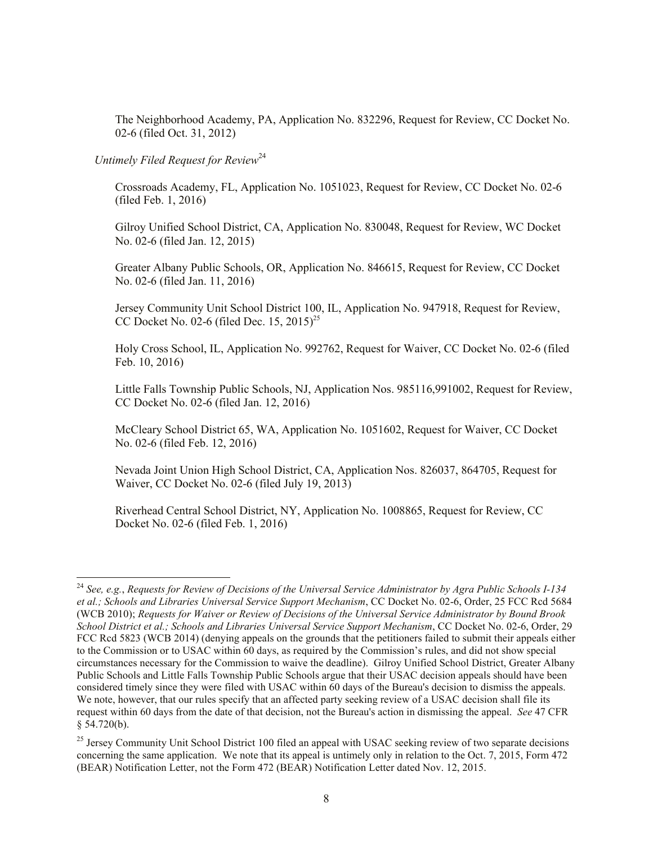The Neighborhood Academy, PA, Application No. 832296, Request for Review, CC Docket No. 02-6 (filed Oct. 31, 2012)

# *Untimely Filed Request for Review*<sup>24</sup>

l

Crossroads Academy, FL, Application No. 1051023, Request for Review, CC Docket No. 02-6 (filed Feb. 1, 2016)

Gilroy Unified School District, CA, Application No. 830048, Request for Review, WC Docket No. 02-6 (filed Jan. 12, 2015)

Greater Albany Public Schools, OR, Application No. 846615, Request for Review, CC Docket No. 02-6 (filed Jan. 11, 2016)

Jersey Community Unit School District 100, IL, Application No. 947918, Request for Review, CC Docket No. 02-6 (filed Dec. 15, 2015)<sup>25</sup>

Holy Cross School, IL, Application No. 992762, Request for Waiver, CC Docket No. 02-6 (filed Feb. 10, 2016)

Little Falls Township Public Schools, NJ, Application Nos. 985116,991002, Request for Review, CC Docket No. 02-6 (filed Jan. 12, 2016)

McCleary School District 65, WA, Application No. 1051602, Request for Waiver, CC Docket No. 02-6 (filed Feb. 12, 2016)

Nevada Joint Union High School District, CA, Application Nos. 826037, 864705, Request for Waiver, CC Docket No. 02-6 (filed July 19, 2013)

Riverhead Central School District, NY, Application No. 1008865, Request for Review, CC Docket No. 02-6 (filed Feb. 1, 2016)

<sup>24</sup> *See, e.g.*, *Requests for Review of Decisions of the Universal Service Administrator by Agra Public Schools I-134 et al.; Schools and Libraries Universal Service Support Mechanism*, CC Docket No. 02-6, Order, 25 FCC Rcd 5684 (WCB 2010); *Requests for Waiver or Review of Decisions of the Universal Service Administrator by Bound Brook School District et al.; Schools and Libraries Universal Service Support Mechanism*, CC Docket No. 02-6, Order, 29 FCC Rcd 5823 (WCB 2014) (denying appeals on the grounds that the petitioners failed to submit their appeals either to the Commission or to USAC within 60 days, as required by the Commission's rules, and did not show special circumstances necessary for the Commission to waive the deadline). Gilroy Unified School District, Greater Albany Public Schools and Little Falls Township Public Schools argue that their USAC decision appeals should have been considered timely since they were filed with USAC within 60 days of the Bureau's decision to dismiss the appeals. We note, however, that our rules specify that an affected party seeking review of a USAC decision shall file its request within 60 days from the date of that decision, not the Bureau's action in dismissing the appeal. *See* 47 CFR § 54.720(b).

<sup>&</sup>lt;sup>25</sup> Jersey Community Unit School District 100 filed an appeal with USAC seeking review of two separate decisions concerning the same application. We note that its appeal is untimely only in relation to the Oct. 7, 2015, Form 472 (BEAR) Notification Letter, not the Form 472 (BEAR) Notification Letter dated Nov. 12, 2015.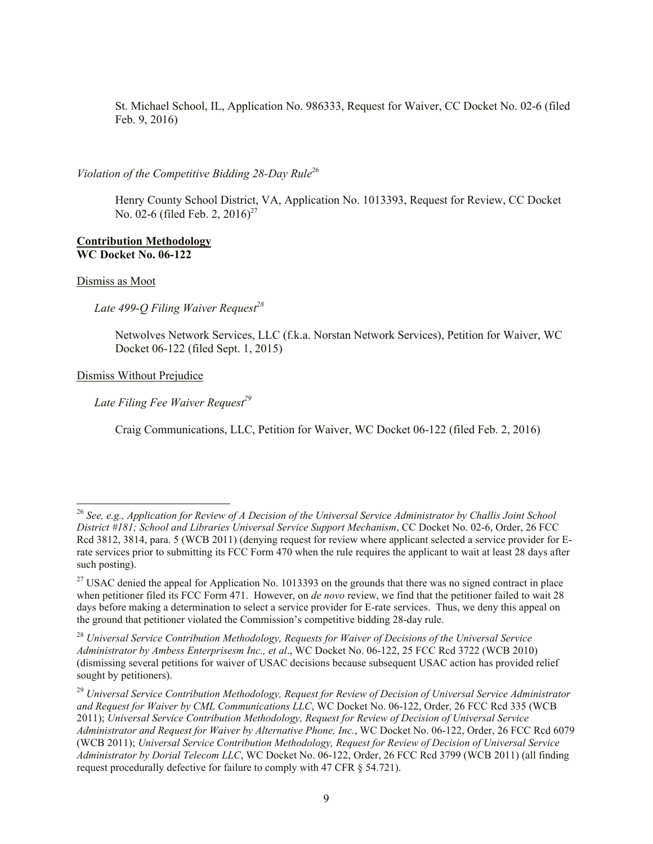St. Michael School, IL, Application No. 986333, Request for Waiver, CC Docket No. 02-6 (filed Feb. 9, 2016)

## Violation of the Competitive Bidding 28-Day Rule<sup>26</sup>

Henry County School District, VA, Application No. 1013393, Request for Review, CC Docket No. 02-6 (filed Feb. 2, 2016)<sup>27</sup>

#### **Contribution Methodology WC Docket No. 06-122**

#### Dismiss as Moot

l

 *Late 499-Q Filing Waiver Request<sup>28</sup>*

Netwolves Network Services, LLC (f.k.a. Norstan Network Services), Petition for Waiver, WC Docket 06-122 (filed Sept. 1, 2015)

Dismiss Without Prejudice

 *Late Filing Fee Waiver Request<sup>29</sup>*

Craig Communications, LLC, Petition for Waiver, WC Docket 06-122 (filed Feb. 2, 2016)

<sup>26</sup> *See, e.g., Application for Review of A Decision of the Universal Service Administrator by Challis Joint School District #181; School and Libraries Universal Service Support Mechanism*, CC Docket No. 02-6, Order, 26 FCC Rcd 3812, 3814, para. 5 (WCB 2011) (denying request for review where applicant selected a service provider for Erate services prior to submitting its FCC Form 470 when the rule requires the applicant to wait at least 28 days after such posting).

 $27$  USAC denied the appeal for Application No. 1013393 on the grounds that there was no signed contract in place when petitioner filed its FCC Form 471. However, on *de novo* review, we find that the petitioner failed to wait 28 days before making a determination to select a service provider for E-rate services. Thus, we deny this appeal on the ground that petitioner violated the Commission's competitive bidding 28-day rule.

<sup>28</sup> *Universal Service Contribution Methodology, Requests for Waiver of Decisions of the Universal Service Administrator by Ambess Enterprisesm Inc., et al*., WC Docket No. 06-122, 25 FCC Rcd 3722 (WCB 2010) (dismissing several petitions for waiver of USAC decisions because subsequent USAC action has provided relief sought by petitioners).

<sup>29</sup> *Universal Service Contribution Methodology, Request for Review of Decision of Universal Service Administrator and Request for Waiver by CML Communications LLC*, WC Docket No. 06-122, Order, 26 FCC Rcd 335 (WCB 2011); *Universal Service Contribution Methodology, Request for Review of Decision of Universal Service Administrator and Request for Waiver by Alternative Phone, Inc.*, WC Docket No. 06-122, Order, 26 FCC Rcd 6079 (WCB 2011); *Universal Service Contribution Methodology, Request for Review of Decision of Universal Service Administrator by Dorial Telecom LLC*, WC Docket No. 06-122, Order, 26 FCC Rcd 3799 (WCB 2011) (all finding request procedurally defective for failure to comply with 47 CFR § 54.721).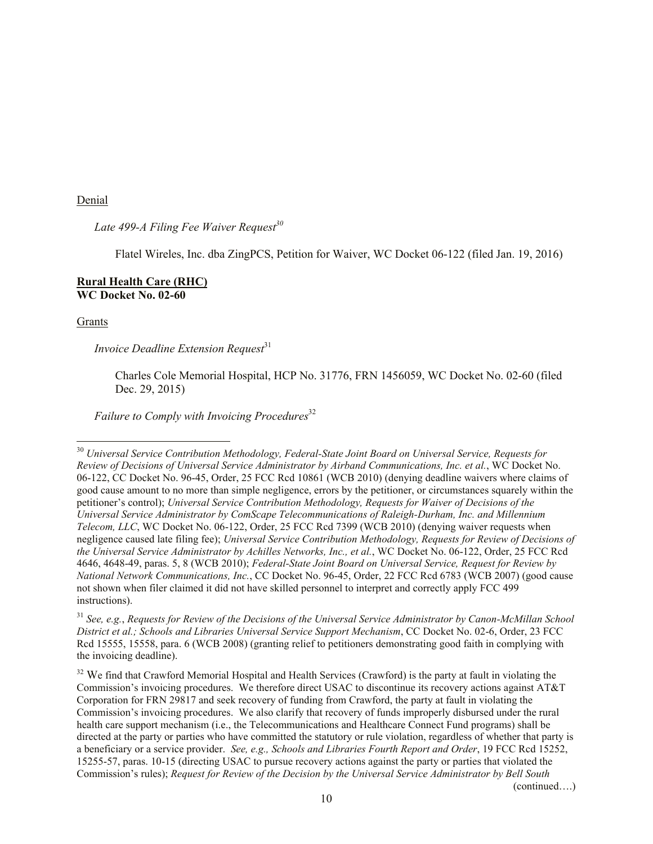Denial

 *Late 499-A Filing Fee Waiver Request<sup>30</sup>*

Flatel Wireles, Inc. dba ZingPCS, Petition for Waiver, WC Docket 06-122 (filed Jan. 19, 2016)

#### **Rural Health Care (RHC) WC Docket No. 02-60**

Grants

l

*Invoice Deadline Extension Request*<sup>31</sup>

Charles Cole Memorial Hospital, HCP No. 31776, FRN 1456059, WC Docket No. 02-60 (filed Dec. 29, 2015)

*Failure to Comply with Invoicing Procedures*<sup>32</sup>

<sup>31</sup> *See, e.g.*, *Requests for Review of the Decisions of the Universal Service Administrator by Canon-McMillan School District et al.; Schools and Libraries Universal Service Support Mechanism*, CC Docket No. 02-6, Order, 23 FCC Rcd 15555, 15558, para. 6 (WCB 2008) (granting relief to petitioners demonstrating good faith in complying with the invoicing deadline).

<sup>32</sup> We find that Crawford Memorial Hospital and Health Services (Crawford) is the party at fault in violating the Commission's invoicing procedures. We therefore direct USAC to discontinue its recovery actions against AT&T Corporation for FRN 29817 and seek recovery of funding from Crawford, the party at fault in violating the Commission's invoicing procedures.We also clarify that recovery of funds improperly disbursed under the rural health care support mechanism (i.e., the Telecommunications and Healthcare Connect Fund programs) shall be directed at the party or parties who have committed the statutory or rule violation, regardless of whether that party is a beneficiary or a service provider. *See, e.g., Schools and Libraries Fourth Report and Order*, 19 FCC Rcd 15252, 15255-57, paras. 10-15 (directing USAC to pursue recovery actions against the party or parties that violated the Commission's rules); *Request for Review of the Decision by the Universal Service Administrator by Bell South* 

(continued….)

<sup>&</sup>lt;sup>30</sup> Universal Service Contribution Methodology, Federal-State Joint Board on Universal Service, Requests for *Review of Decisions of Universal Service Administrator by Airband Communications, Inc. et al.*, WC Docket No. 06-122, CC Docket No. 96-45, Order, 25 FCC Rcd 10861 (WCB 2010) (denying deadline waivers where claims of good cause amount to no more than simple negligence, errors by the petitioner, or circumstances squarely within the petitioner's control); *Universal Service Contribution Methodology, Requests for Waiver of Decisions of the Universal Service Administrator by ComScape Telecommunications of Raleigh-Durham, Inc. and Millennium Telecom, LLC*, WC Docket No. 06-122, Order, 25 FCC Rcd 7399 (WCB 2010) (denying waiver requests when negligence caused late filing fee); *Universal Service Contribution Methodology, Requests for Review of Decisions of the Universal Service Administrator by Achilles Networks, Inc., et al.*, WC Docket No. 06-122, Order, 25 FCC Rcd 4646, 4648-49, paras. 5, 8 (WCB 2010); *Federal-State Joint Board on Universal Service, Request for Review by National Network Communications, Inc.*, CC Docket No. 96-45, Order, 22 FCC Rcd 6783 (WCB 2007) (good cause not shown when filer claimed it did not have skilled personnel to interpret and correctly apply FCC 499 instructions).